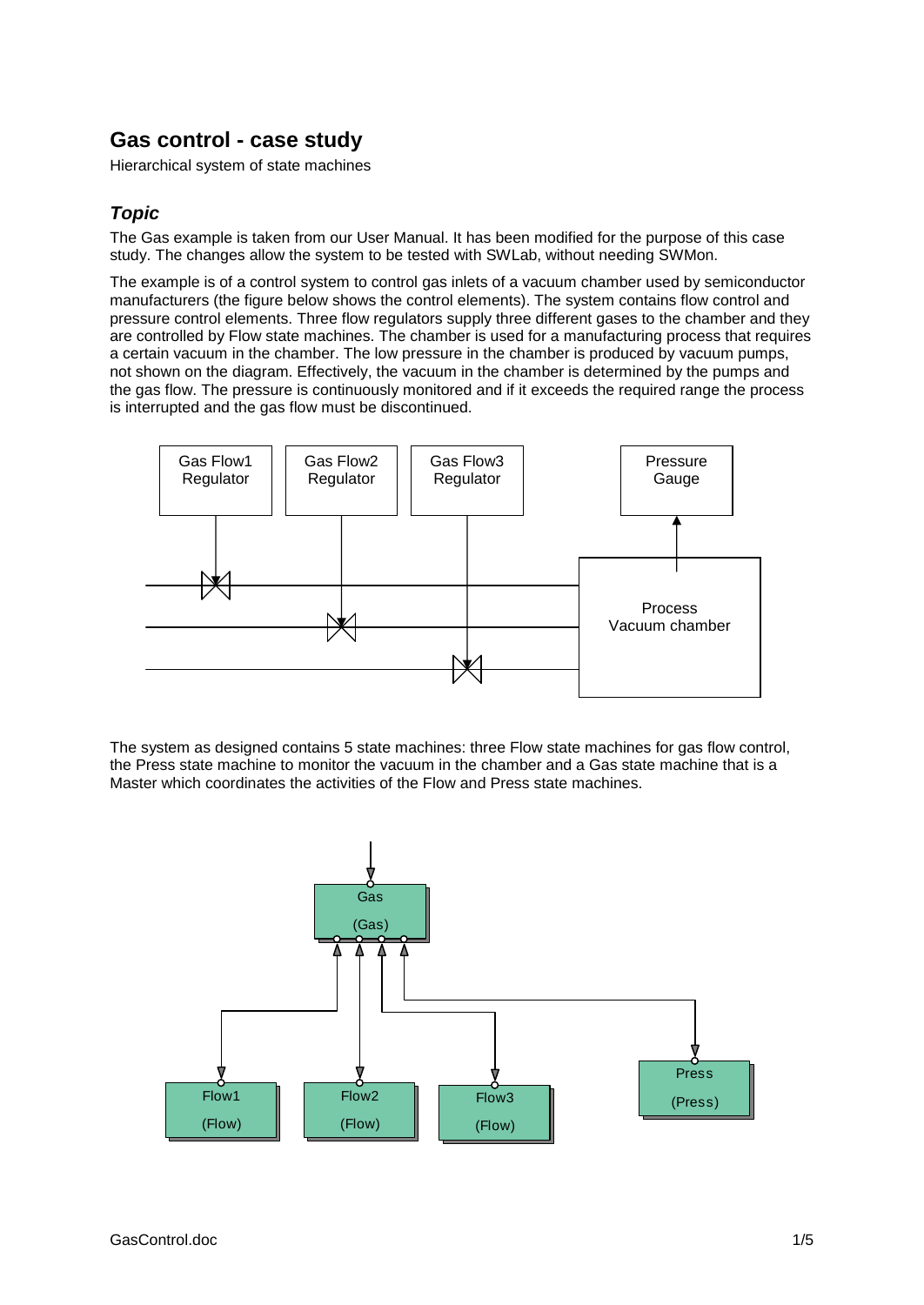# **Gas control - case study**

Hierarchical system of state machines

## *Topic*

The Gas example is taken from our User Manual. It has been modified for the purpose of this case study. The changes allow the system to be tested with SWLab, without needing SWMon.

The example is of a control system to control gas inlets of a vacuum chamber used by semiconductor manufacturers (the figure below shows the control elements). The system contains flow control and pressure control elements. Three flow regulators supply three different gases to the chamber and they are controlled by Flow state machines. The chamber is used for a manufacturing process that requires a certain vacuum in the chamber. The low pressure in the chamber is produced by vacuum pumps, not shown on the diagram. Effectively, the vacuum in the chamber is determined by the pumps and the gas flow. The pressure is continuously monitored and if it exceeds the required range the process is interrupted and the gas flow must be discontinued.



The system as designed contains 5 state machines: three Flow state machines for gas flow control, the Press state machine to monitor the vacuum in the chamber and a Gas state machine that is a Master which coordinates the activities of the Flow and Press state machines.

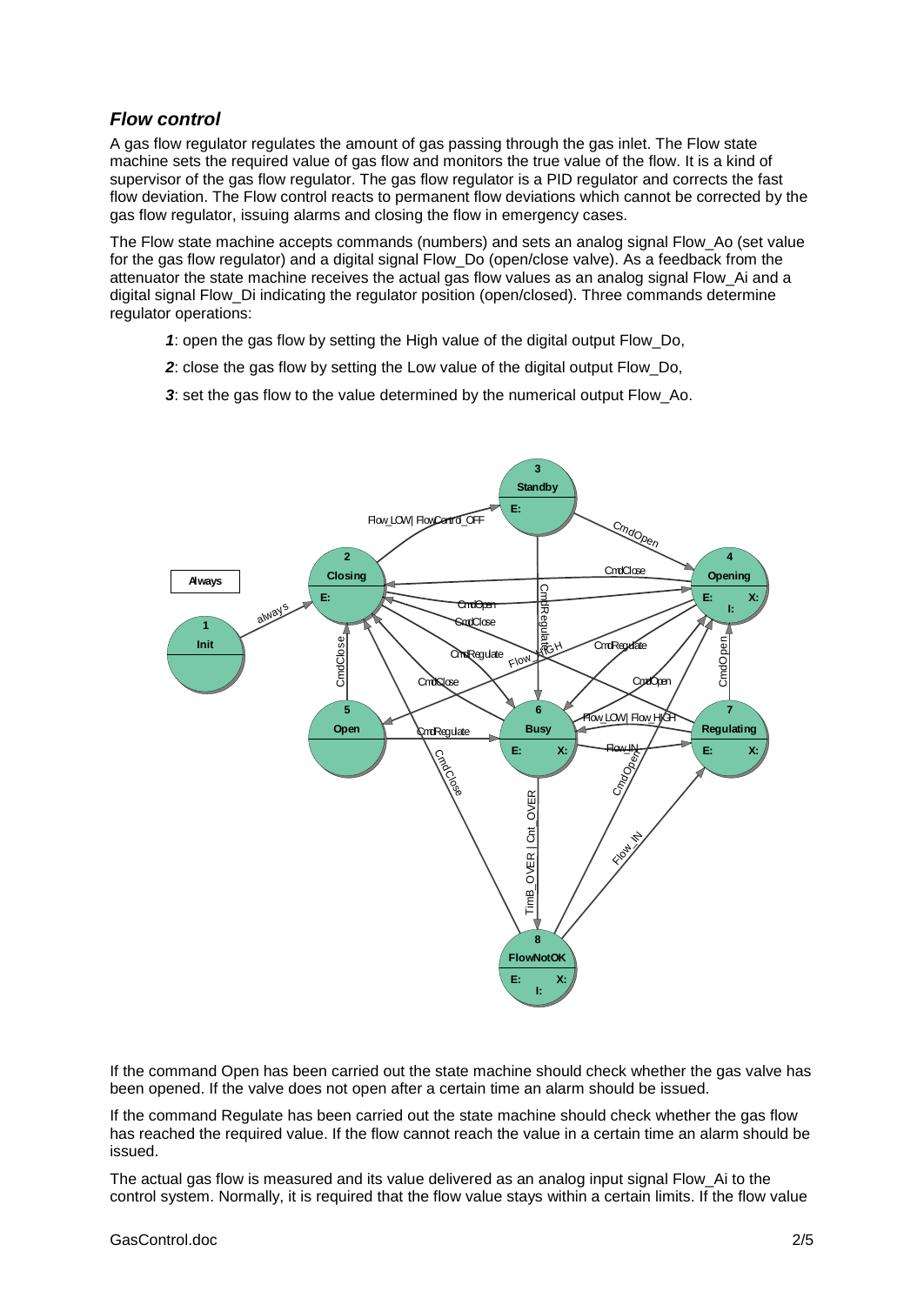#### *Flow control*

A gas flow regulator regulates the amount of gas passing through the gas inlet. The Flow state machine sets the required value of gas flow and monitors the true value of the flow. It is a kind of supervisor of the gas flow regulator. The gas flow regulator is a PID regulator and corrects the fast flow deviation. The Flow control reacts to permanent flow deviations which cannot be corrected by the gas flow regulator, issuing alarms and closing the flow in emergency cases.

The Flow state machine accepts commands (numbers) and sets an analog signal Flow\_Ao (set value for the gas flow regulator) and a digital signal Flow\_Do (open/close valve). As a feedback from the attenuator the state machine receives the actual gas flow values as an analog signal Flow\_Ai and a digital signal Flow Di indicating the regulator position (open/closed). Three commands determine regulator operations:

- *1*: open the gas flow by setting the High value of the digital output Flow\_Do,
- *2*: close the gas flow by setting the Low value of the digital output Flow\_Do,
- *3*: set the gas flow to the value determined by the numerical output Flow\_Ao.



If the command Open has been carried out the state machine should check whether the gas valve has been opened. If the valve does not open after a certain time an alarm should be issued.

If the command Regulate has been carried out the state machine should check whether the gas flow has reached the required value. If the flow cannot reach the value in a certain time an alarm should be issued.

The actual gas flow is measured and its value delivered as an analog input signal Flow\_Ai to the control system. Normally, it is required that the flow value stays within a certain limits. If the flow value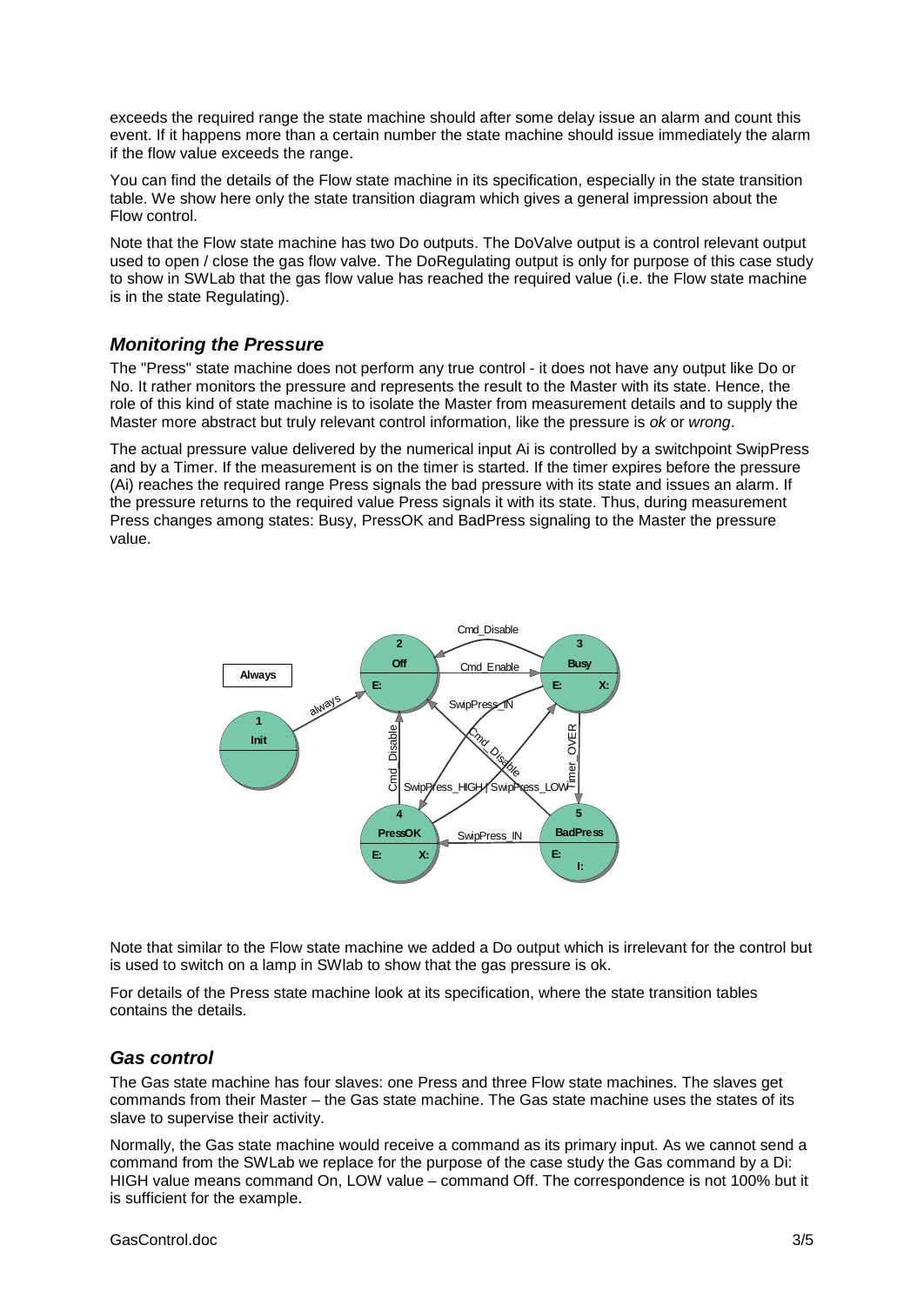exceeds the required range the state machine should after some delay issue an alarm and count this event. If it happens more than a certain number the state machine should issue immediately the alarm if the flow value exceeds the range.

You can find the details of the Flow state machine in its specification, especially in the state transition table. We show here only the state transition diagram which gives a general impression about the Flow control.

Note that the Flow state machine has two Do outputs. The DoValve output is a control relevant output used to open / close the gas flow valve. The DoRegulating output is only for purpose of this case study to show in SWLab that the gas flow value has reached the required value (i.e. the Flow state machine is in the state Regulating).

#### *Monitoring the Pressure*

The "Press" state machine does not perform any true control - it does not have any output like Do or No. It rather monitors the pressure and represents the result to the Master with its state. Hence, the role of this kind of state machine is to isolate the Master from measurement details and to supply the Master more abstract but truly relevant control information, like the pressure is *ok* or *wrong*.

The actual pressure value delivered by the numerical input Ai is controlled by a switchpoint SwipPress and by a Timer. If the measurement is on the timer is started. If the timer expires before the pressure (Ai) reaches the required range Press signals the bad pressure with its state and issues an alarm. If the pressure returns to the required value Press signals it with its state. Thus, during measurement Press changes among states: Busy, PressOK and BadPress signaling to the Master the pressure value.



Note that similar to the Flow state machine we added a Do output which is irrelevant for the control but is used to switch on a lamp in SWlab to show that the gas pressure is ok.

For details of the Press state machine look at its specification, where the state transition tables contains the details.

#### *Gas control*

The Gas state machine has four slaves: one Press and three Flow state machines. The slaves get commands from their Master – the Gas state machine. The Gas state machine uses the states of its slave to supervise their activity.

Normally, the Gas state machine would receive a command as its primary input. As we cannot send a command from the SWLab we replace for the purpose of the case study the Gas command by a Di: HIGH value means command On, LOW value – command Off. The correspondence is not 100% but it is sufficient for the example.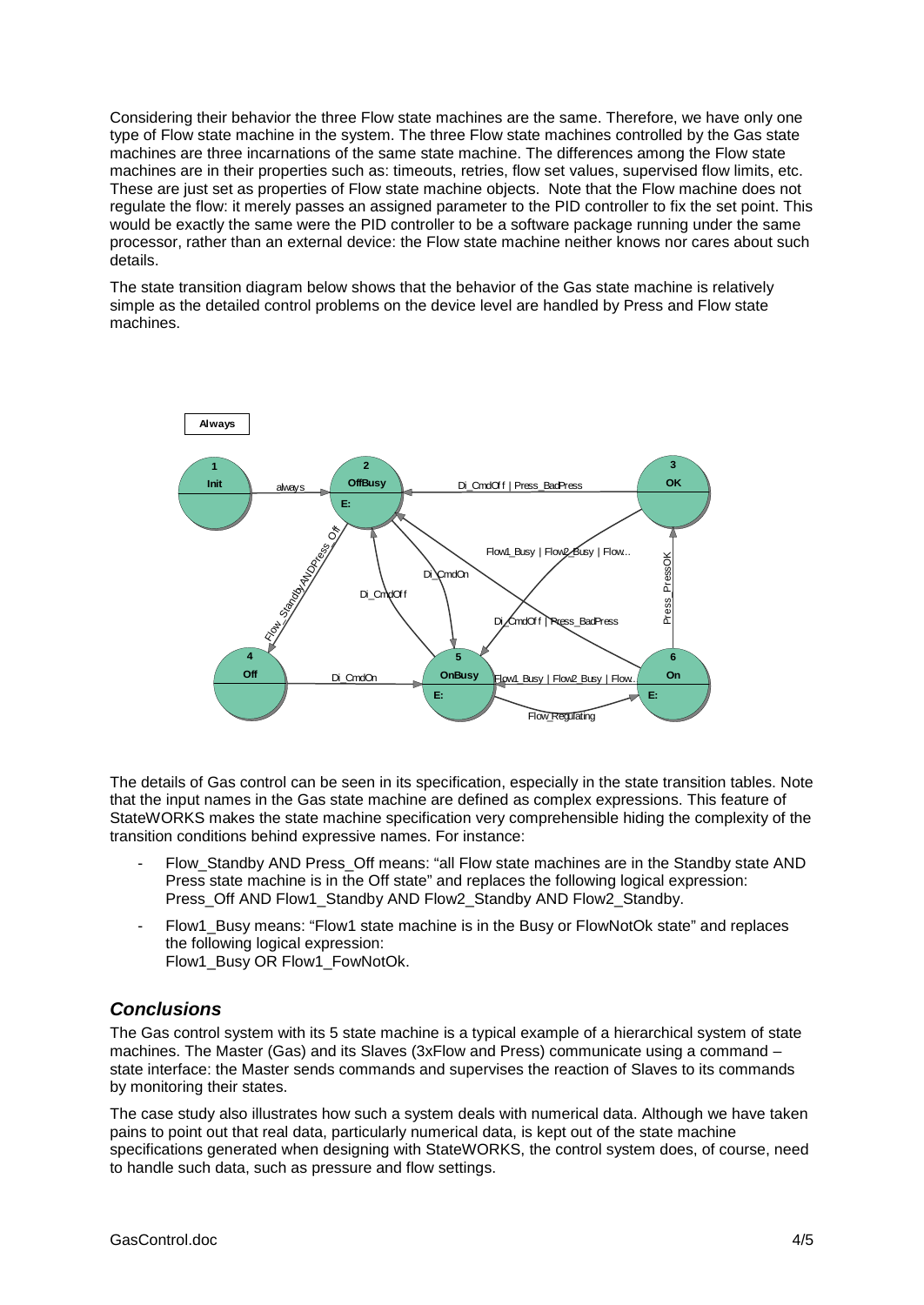Considering their behavior the three Flow state machines are the same. Therefore, we have only one type of Flow state machine in the system. The three Flow state machines controlled by the Gas state machines are three incarnations of the same state machine. The differences among the Flow state machines are in their properties such as: timeouts, retries, flow set values, supervised flow limits, etc. These are just set as properties of Flow state machine objects. Note that the Flow machine does not regulate the flow: it merely passes an assigned parameter to the PID controller to fix the set point. This would be exactly the same were the PID controller to be a software package running under the same processor, rather than an external device: the Flow state machine neither knows nor cares about such details.

The state transition diagram below shows that the behavior of the Gas state machine is relatively simple as the detailed control problems on the device level are handled by Press and Flow state machines.



The details of Gas control can be seen in its specification, especially in the state transition tables. Note that the input names in the Gas state machine are defined as complex expressions. This feature of StateWORKS makes the state machine specification very comprehensible hiding the complexity of the transition conditions behind expressive names. For instance:

- Flow Standby AND Press Off means: "all Flow state machines are in the Standby state AND Press state machine is in the Off state" and replaces the following logical expression: Press\_Off AND Flow1\_Standby AND Flow2\_Standby AND Flow2\_Standby.
- Flow1 Busy means: "Flow1 state machine is in the Busy or FlowNotOk state" and replaces the following logical expression: Flow1\_Busy OR Flow1\_FowNotOk.

#### *Conclusions*

The Gas control system with its 5 state machine is a typical example of a hierarchical system of state machines. The Master (Gas) and its Slaves (3xFlow and Press) communicate using a command – state interface: the Master sends commands and supervises the reaction of Slaves to its commands by monitoring their states.

The case study also illustrates how such a system deals with numerical data. Although we have taken pains to point out that real data, particularly numerical data, is kept out of the state machine specifications generated when designing with StateWORKS, the control system does, of course, need to handle such data, such as pressure and flow settings.